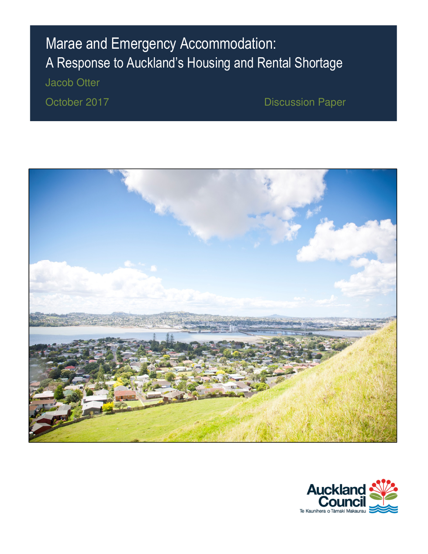# Marae and Emergency Accommodation: A Response to Auckland's Housing and Rental Shortage

Jacob Otter

October 2017 **Discussion Paper** 



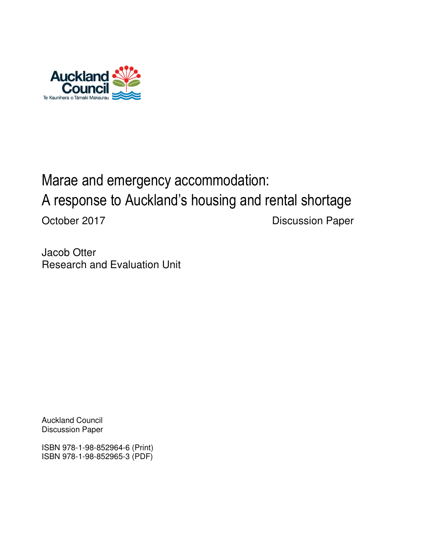

# Marae and emergency accommodation: A response to Auckland's housing and rental shortage October 2017 **Discussion Paper**

Jacob Otter Research and Evaluation Unit

Auckland Council Discussion Paper

ISBN 978-1-98-852964-6 (Print) ISBN 978-1-98-852965-3 (PDF)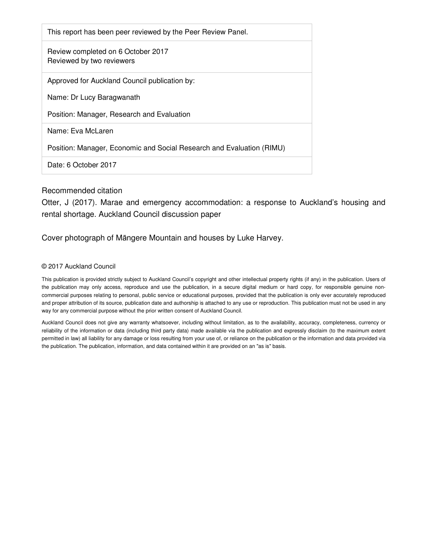| This report has been peer reviewed by the Peer Review Panel.          |
|-----------------------------------------------------------------------|
| Review completed on 6 October 2017<br>Reviewed by two reviewers       |
| Approved for Auckland Council publication by:                         |
| Name: Dr Lucy Baragwanath                                             |
| Position: Manager, Research and Evaluation                            |
| Name: Eva McLaren                                                     |
| Position: Manager, Economic and Social Research and Evaluation (RIMU) |
| Date: 6 October 2017                                                  |

#### Recommended citation

Otter, J (2017). Marae and emergency accommodation: a response to Auckland's housing and rental shortage. Auckland Council discussion paper

#### Cover photograph of Māngere Mountain and houses by Luke Harvey.

#### © 2017 Auckland Council

This publication is provided strictly subject to Auckland Council's copyright and other intellectual property rights (if any) in the publication. Users of the publication may only access, reproduce and use the publication, in a secure digital medium or hard copy, for responsible genuine noncommercial purposes relating to personal, public service or educational purposes, provided that the publication is only ever accurately reproduced and proper attribution of its source, publication date and authorship is attached to any use or reproduction. This publication must not be used in any way for any commercial purpose without the prior written consent of Auckland Council.

Auckland Council does not give any warranty whatsoever, including without limitation, as to the availability, accuracy, completeness, currency or reliability of the information or data (including third party data) made available via the publication and expressly disclaim (to the maximum extent permitted in law) all liability for any damage or loss resulting from your use of, or reliance on the publication or the information and data provided via the publication. The publication, information, and data contained within it are provided on an "as is" basis.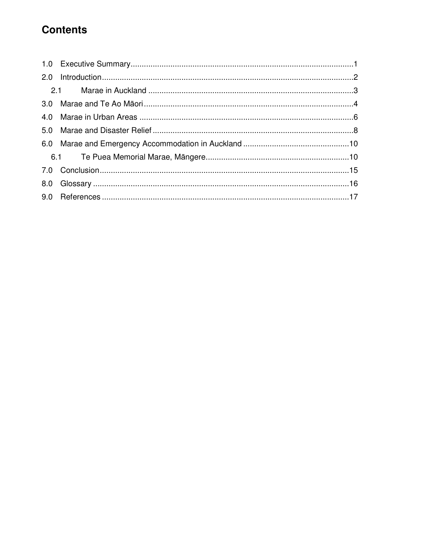## **Contents**

| 2.0 |  |
|-----|--|
|     |  |
|     |  |
| 4.0 |  |
|     |  |
|     |  |
|     |  |
|     |  |
| 8.0 |  |
|     |  |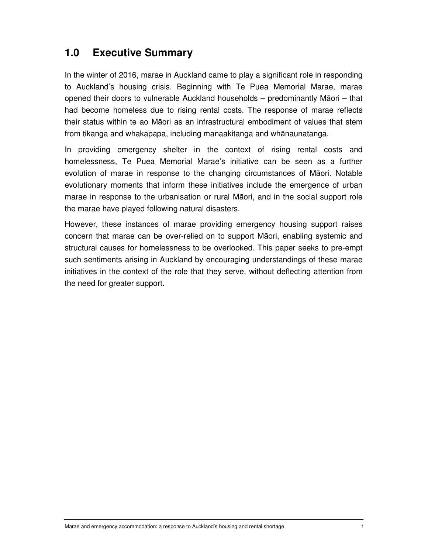### **1.0 Executive Summary**

In the winter of 2016, marae in Auckland came to play a significant role in responding to Auckland's housing crisis. Beginning with Te Puea Memorial Marae, marae opened their doors to vulnerable Auckland households – predominantly Māori – that had become homeless due to rising rental costs. The response of marae reflects their status within te ao Māori as an infrastructural embodiment of values that stem from tikanga and whakapapa, including manaakitanga and whānaunatanga.

In providing emergency shelter in the context of rising rental costs and homelessness, Te Puea Memorial Marae's initiative can be seen as a further evolution of marae in response to the changing circumstances of Māori. Notable evolutionary moments that inform these initiatives include the emergence of urban marae in response to the urbanisation or rural Māori, and in the social support role the marae have played following natural disasters.

However, these instances of marae providing emergency housing support raises concern that marae can be over-relied on to support Māori, enabling systemic and structural causes for homelessness to be overlooked. This paper seeks to pre-empt such sentiments arising in Auckland by encouraging understandings of these marae initiatives in the context of the role that they serve, without deflecting attention from the need for greater support.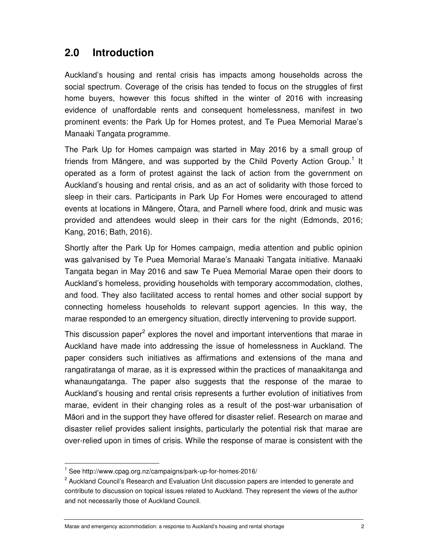## **2.0 Introduction**

Auckland's housing and rental crisis has impacts among households across the social spectrum. Coverage of the crisis has tended to focus on the struggles of first home buyers, however this focus shifted in the winter of 2016 with increasing evidence of unaffordable rents and consequent homelessness, manifest in two prominent events: the Park Up for Homes protest, and Te Puea Memorial Marae's Manaaki Tangata programme.

The Park Up for Homes campaign was started in May 2016 by a small group of friends from Māngere, and was supported by the Child Poverty Action Group.<sup>1</sup> It operated as a form of protest against the lack of action from the government on Auckland's housing and rental crisis, and as an act of solidarity with those forced to sleep in their cars. Participants in Park Up For Homes were encouraged to attend events at locations in Māngere, Ōtara, and Parnell where food, drink and music was provided and attendees would sleep in their cars for the night (Edmonds, 2016; Kang, 2016; Bath, 2016).

Shortly after the Park Up for Homes campaign, media attention and public opinion was galvanised by Te Puea Memorial Marae's Manaaki Tangata initiative. Manaaki Tangata began in May 2016 and saw Te Puea Memorial Marae open their doors to Auckland's homeless, providing households with temporary accommodation, clothes, and food. They also facilitated access to rental homes and other social support by connecting homeless households to relevant support agencies. In this way, the marae responded to an emergency situation, directly intervening to provide support.

This discussion paper<sup>2</sup> explores the novel and important interventions that marae in Auckland have made into addressing the issue of homelessness in Auckland. The paper considers such initiatives as affirmations and extensions of the mana and rangatiratanga of marae, as it is expressed within the practices of manaakitanga and whanaungatanga. The paper also suggests that the response of the marae to Auckland's housing and rental crisis represents a further evolution of initiatives from marae, evident in their changing roles as a result of the post-war urbanisation of Māori and in the support they have offered for disaster relief. Research on marae and disaster relief provides salient insights, particularly the potential risk that marae are over-relied upon in times of crisis. While the response of marae is consistent with the

<sup>1</sup> See http://www.cpag.org.nz/campaigns/park-up-for-homes-2016/

<sup>&</sup>lt;sup>2</sup> Auckland Council's Research and Evaluation Unit discussion papers are intended to generate and contribute to discussion on topical issues related to Auckland. They represent the views of the author and not necessarily those of Auckland Council.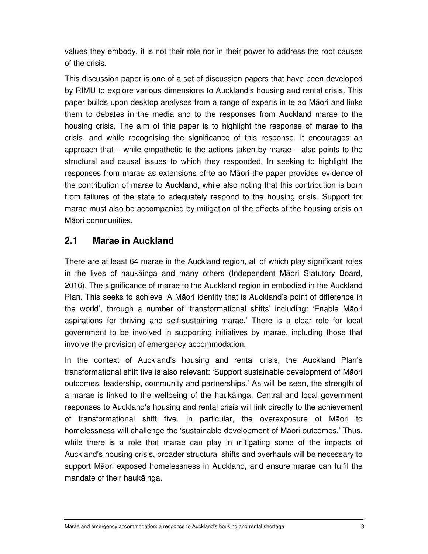values they embody, it is not their role nor in their power to address the root causes of the crisis.

This discussion paper is one of a set of discussion papers that have been developed by RIMU to explore various dimensions to Auckland's housing and rental crisis. This paper builds upon desktop analyses from a range of experts in te ao Māori and links them to debates in the media and to the responses from Auckland marae to the housing crisis. The aim of this paper is to highlight the response of marae to the crisis, and while recognising the significance of this response, it encourages an approach that – while empathetic to the actions taken by marae – also points to the structural and causal issues to which they responded. In seeking to highlight the responses from marae as extensions of te ao Māori the paper provides evidence of the contribution of marae to Auckland, while also noting that this contribution is born from failures of the state to adequately respond to the housing crisis. Support for marae must also be accompanied by mitigation of the effects of the housing crisis on Māori communities.

#### **2.1 Marae in Auckland**

There are at least 64 marae in the Auckland region, all of which play significant roles in the lives of haukāinga and many others (Independent Māori Statutory Board, 2016). The significance of marae to the Auckland region in embodied in the Auckland Plan. This seeks to achieve 'A Māori identity that is Auckland's point of difference in the world', through a number of 'transformational shifts' including: 'Enable Māori aspirations for thriving and self-sustaining marae.' There is a clear role for local government to be involved in supporting initiatives by marae, including those that involve the provision of emergency accommodation.

In the context of Auckland's housing and rental crisis, the Auckland Plan's transformational shift five is also relevant: 'Support sustainable development of Māori outcomes, leadership, community and partnerships.' As will be seen, the strength of a marae is linked to the wellbeing of the haukāinga. Central and local government responses to Auckland's housing and rental crisis will link directly to the achievement of transformational shift five. In particular, the overexposure of Māori to homelessness will challenge the 'sustainable development of Māori outcomes.' Thus, while there is a role that marae can play in mitigating some of the impacts of Auckland's housing crisis, broader structural shifts and overhauls will be necessary to support Māori exposed homelessness in Auckland, and ensure marae can fulfil the mandate of their haukāinga.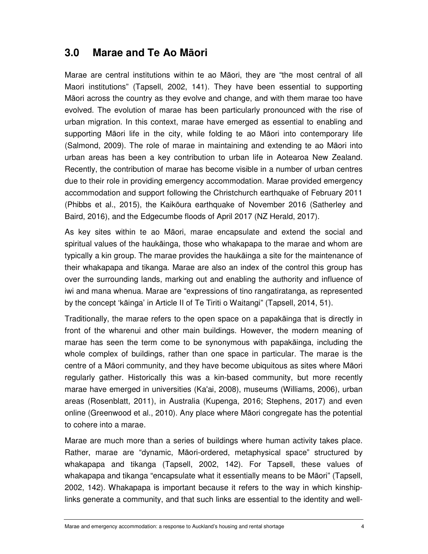#### **3.0 Marae and Te Ao M**ā**ori**

Marae are central institutions within te ao Māori, they are "the most central of all Maori institutions" (Tapsell, 2002, 141). They have been essential to supporting Māori across the country as they evolve and change, and with them marae too have evolved. The evolution of marae has been particularly pronounced with the rise of urban migration. In this context, marae have emerged as essential to enabling and supporting Māori life in the city, while folding te ao Māori into contemporary life (Salmond, 2009). The role of marae in maintaining and extending te ao Māori into urban areas has been a key contribution to urban life in Aotearoa New Zealand. Recently, the contribution of marae has become visible in a number of urban centres due to their role in providing emergency accommodation. Marae provided emergency accommodation and support following the Christchurch earthquake of February 2011 (Phibbs et al., 2015), the Kaikōura earthquake of November 2016 (Satherley and Baird, 2016), and the Edgecumbe floods of April 2017 (NZ Herald, 2017).

As key sites within te ao Māori, marae encapsulate and extend the social and spiritual values of the haukāinga, those who whakapapa to the marae and whom are typically a kin group. The marae provides the haukāinga a site for the maintenance of their whakapapa and tikanga. Marae are also an index of the control this group has over the surrounding lands, marking out and enabling the authority and influence of iwi and mana whenua. Marae are "expressions of tino rangatiratanga, as represented by the concept 'kāinga' in Article II of Te Tiriti o Waitangi" (Tapsell, 2014, 51).

Traditionally, the marae refers to the open space on a papakāinga that is directly in front of the wharenui and other main buildings. However, the modern meaning of marae has seen the term come to be synonymous with papakāinga, including the whole complex of buildings, rather than one space in particular. The marae is the centre of a Māori community, and they have become ubiquitous as sites where Māori regularly gather. Historically this was a kin-based community, but more recently marae have emerged in universities (Ka'ai, 2008), museums (Williams, 2006), urban areas (Rosenblatt, 2011), in Australia (Kupenga, 2016; Stephens, 2017) and even online (Greenwood et al., 2010). Any place where Māori congregate has the potential to cohere into a marae.

Marae are much more than a series of buildings where human activity takes place. Rather, marae are "dynamic, Māori-ordered, metaphysical space" structured by whakapapa and tikanga (Tapsell, 2002, 142). For Tapsell, these values of whakapapa and tikanga "encapsulate what it essentially means to be Māori" (Tapsell, 2002, 142). Whakapapa is important because it refers to the way in which kinshiplinks generate a community, and that such links are essential to the identity and well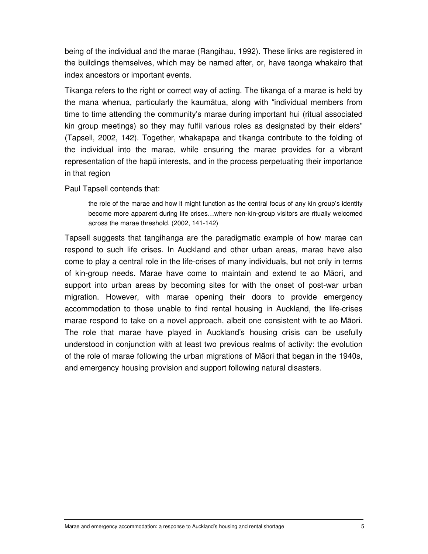being of the individual and the marae (Rangihau, 1992). These links are registered in the buildings themselves, which may be named after, or, have taonga whakairo that index ancestors or important events.

Tikanga refers to the right or correct way of acting. The tikanga of a marae is held by the mana whenua, particularly the kaumātua, along with "individual members from time to time attending the community's marae during important hui (ritual associated kin group meetings) so they may fulfil various roles as designated by their elders" (Tapsell, 2002, 142). Together, whakapapa and tikanga contribute to the folding of the individual into the marae, while ensuring the marae provides for a vibrant representation of the hapū interests, and in the process perpetuating their importance in that region

Paul Tapsell contends that:

the role of the marae and how it might function as the central focus of any kin group's identity become more apparent during life crises…where non-kin-group visitors are ritually welcomed across the marae threshold. (2002, 141-142)

Tapsell suggests that tangihanga are the paradigmatic example of how marae can respond to such life crises. In Auckland and other urban areas, marae have also come to play a central role in the life-crises of many individuals, but not only in terms of kin-group needs. Marae have come to maintain and extend te ao Māori, and support into urban areas by becoming sites for with the onset of post-war urban migration. However, with marae opening their doors to provide emergency accommodation to those unable to find rental housing in Auckland, the life-crises marae respond to take on a novel approach, albeit one consistent with te ao Māori. The role that marae have played in Auckland's housing crisis can be usefully understood in conjunction with at least two previous realms of activity: the evolution of the role of marae following the urban migrations of Māori that began in the 1940s, and emergency housing provision and support following natural disasters.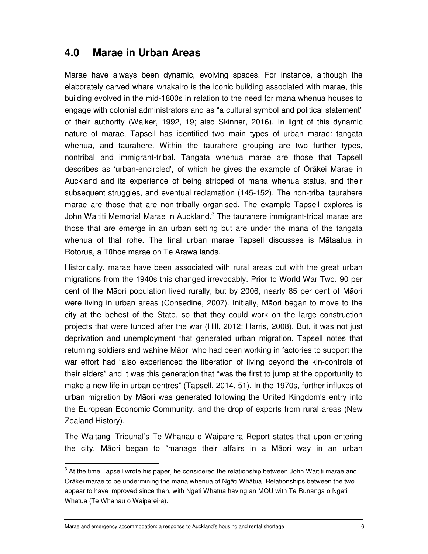#### **4.0 Marae in Urban Areas**

Marae have always been dynamic, evolving spaces. For instance, although the elaborately carved whare whakairo is the iconic building associated with marae, this building evolved in the mid-1800s in relation to the need for mana whenua houses to engage with colonial administrators and as "a cultural symbol and political statement" of their authority (Walker, 1992, 19; also Skinner, 2016). In light of this dynamic nature of marae, Tapsell has identified two main types of urban marae: tangata whenua, and taurahere. Within the taurahere grouping are two further types, nontribal and immigrant-tribal. Tangata whenua marae are those that Tapsell describes as 'urban-encircled', of which he gives the example of Ōrākei Marae in Auckland and its experience of being stripped of mana whenua status, and their subsequent struggles, and eventual reclamation (145-152). The non-tribal taurahere marae are those that are non-tribally organised. The example Tapsell explores is John Waititi Memorial Marae in Auckland.<sup>3</sup> The taurahere immigrant-tribal marae are those that are emerge in an urban setting but are under the mana of the tangata whenua of that rohe. The final urban marae Tapsell discusses is Mātaatua in Rotorua, a Tūhoe marae on Te Arawa lands.

Historically, marae have been associated with rural areas but with the great urban migrations from the 1940s this changed irrevocably. Prior to World War Two, 90 per cent of the Māori population lived rurally, but by 2006, nearly 85 per cent of Māori were living in urban areas (Consedine, 2007). Initially, Māori began to move to the city at the behest of the State, so that they could work on the large construction projects that were funded after the war (Hill, 2012; Harris, 2008). But, it was not just deprivation and unemployment that generated urban migration. Tapsell notes that returning soldiers and wahine Māori who had been working in factories to support the war effort had "also experienced the liberation of living beyond the kin-controls of their elders" and it was this generation that "was the first to jump at the opportunity to make a new life in urban centres" (Tapsell, 2014, 51). In the 1970s, further influxes of urban migration by Māori was generated following the United Kingdom's entry into the European Economic Community, and the drop of exports from rural areas (New Zealand History).

The Waitangi Tribunal's Te Whanau o Waipareira Report states that upon entering the city, Māori began to "manage their affairs in a Māori way in an urban

Marae and emergency accommodation: a response to Auckland's housing and rental shortage 6

 $3$  At the time Tapsell wrote his paper, he considered the relationship between John Waititi marae and Orākei marae to be undermining the mana whenua of Ngāti Whātua. Relationships between the two appear to have improved since then, with Ngāti Whātua having an MOU with Te Runanga ō Ngāti Whātua (Te Whānau o Waipareira).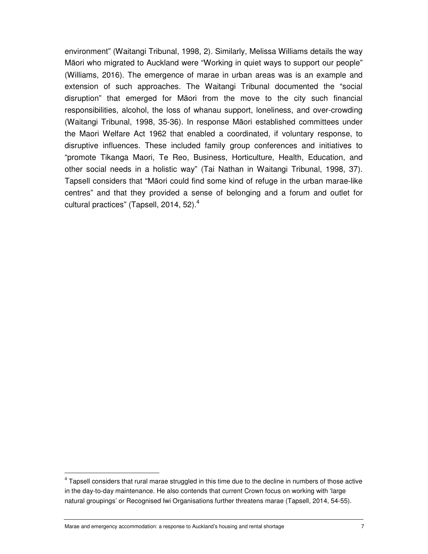environment" (Waitangi Tribunal, 1998, 2). Similarly, Melissa Williams details the way Māori who migrated to Auckland were "Working in quiet ways to support our people" (Williams, 2016). The emergence of marae in urban areas was is an example and extension of such approaches. The Waitangi Tribunal documented the "social disruption" that emerged for Māori from the move to the city such financial responsibilities, alcohol, the loss of whanau support, loneliness, and over-crowding (Waitangi Tribunal, 1998, 35-36). In response Māori established committees under the Maori Welfare Act 1962 that enabled a coordinated, if voluntary response, to disruptive influences. These included family group conferences and initiatives to "promote Tikanga Maori, Te Reo, Business, Horticulture, Health, Education, and other social needs in a holistic way" (Tai Nathan in Waitangi Tribunal, 1998, 37). Tapsell considers that "Māori could find some kind of refuge in the urban marae-like centres" and that they provided a sense of belonging and a forum and outlet for cultural practices" (Tapsell, 2014, 52). $<sup>4</sup>$ </sup>

<sup>&</sup>lt;sup>4</sup> Tapsell considers that rural marae struggled in this time due to the decline in numbers of those active in the day-to-day maintenance. He also contends that current Crown focus on working with 'large natural groupings' or Recognised Iwi Organisations further threatens marae (Tapsell, 2014, 54-55).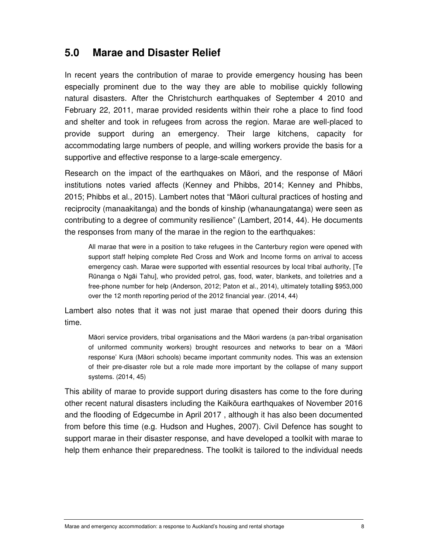#### **5.0 Marae and Disaster Relief**

In recent years the contribution of marae to provide emergency housing has been especially prominent due to the way they are able to mobilise quickly following natural disasters. After the Christchurch earthquakes of September 4 2010 and February 22, 2011, marae provided residents within their rohe a place to find food and shelter and took in refugees from across the region. Marae are well-placed to provide support during an emergency. Their large kitchens, capacity for accommodating large numbers of people, and willing workers provide the basis for a supportive and effective response to a large-scale emergency.

Research on the impact of the earthquakes on Māori, and the response of Māori institutions notes varied affects (Kenney and Phibbs, 2014; Kenney and Phibbs, 2015; Phibbs et al., 2015). Lambert notes that "Māori cultural practices of hosting and reciprocity (manaakitanga) and the bonds of kinship (whanaungatanga) were seen as contributing to a degree of community resilience" (Lambert, 2014, 44). He documents the responses from many of the marae in the region to the earthquakes:

All marae that were in a position to take refugees in the Canterbury region were opened with support staff helping complete Red Cross and Work and Income forms on arrival to access emergency cash. Marae were supported with essential resources by local tribal authority, [Te Rūnanga o Ngāi Tahu], who provided petrol, gas, food, water, blankets, and toiletries and a free-phone number for help (Anderson, 2012; Paton et al., 2014), ultimately totalling \$953,000 over the 12 month reporting period of the 2012 financial year. (2014, 44)

Lambert also notes that it was not just marae that opened their doors during this time.

Māori service providers, tribal organisations and the Māori wardens (a pan-tribal organisation of uniformed community workers) brought resources and networks to bear on a 'Māori response' Kura (Māori schools) became important community nodes. This was an extension of their pre-disaster role but a role made more important by the collapse of many support systems. (2014, 45)

This ability of marae to provide support during disasters has come to the fore during other recent natural disasters including the Kaikōura earthquakes of November 2016 and the flooding of Edgecumbe in April 2017 , although it has also been documented from before this time (e.g. Hudson and Hughes, 2007). Civil Defence has sought to support marae in their disaster response, and have developed a toolkit with marae to help them enhance their preparedness. The toolkit is tailored to the individual needs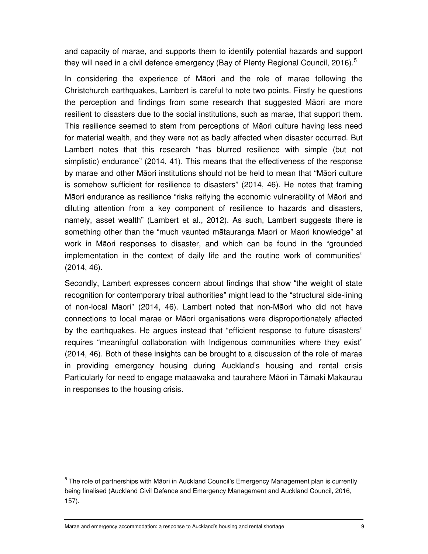and capacity of marae, and supports them to identify potential hazards and support they will need in a civil defence emergency (Bay of Plenty Regional Council, 2016).<sup>5</sup>

In considering the experience of Māori and the role of marae following the Christchurch earthquakes, Lambert is careful to note two points. Firstly he questions the perception and findings from some research that suggested Māori are more resilient to disasters due to the social institutions, such as marae, that support them. This resilience seemed to stem from perceptions of Māori culture having less need for material wealth, and they were not as badly affected when disaster occurred. But Lambert notes that this research "has blurred resilience with simple (but not simplistic) endurance" (2014, 41). This means that the effectiveness of the response by marae and other Māori institutions should not be held to mean that "Māori culture is somehow sufficient for resilience to disasters" (2014, 46). He notes that framing Māori endurance as resilience "risks reifying the economic vulnerability of Māori and diluting attention from a key component of resilience to hazards and disasters, namely, asset wealth" (Lambert et al., 2012). As such, Lambert suggests there is something other than the "much vaunted mātauranga Maori or Maori knowledge" at work in Māori responses to disaster, and which can be found in the "grounded implementation in the context of daily life and the routine work of communities" (2014, 46).

Secondly, Lambert expresses concern about findings that show "the weight of state recognition for contemporary tribal authorities" might lead to the "structural side-lining of non-local Maori" (2014, 46). Lambert noted that non-Māori who did not have connections to local marae or Māori organisations were disproportionately affected by the earthquakes. He argues instead that "efficient response to future disasters" requires "meaningful collaboration with Indigenous communities where they exist" (2014, 46). Both of these insights can be brought to a discussion of the role of marae in providing emergency housing during Auckland's housing and rental crisis Particularly for need to engage mataawaka and taurahere Māori in Tāmaki Makaurau in responses to the housing crisis.

<sup>&</sup>lt;sup>5</sup> The role of partnerships with Māori in Auckland Council's Emergency Management plan is currently being finalised (Auckland Civil Defence and Emergency Management and Auckland Council, 2016, 157).

Marae and emergency accommodation: a response to Auckland's housing and rental shortage 9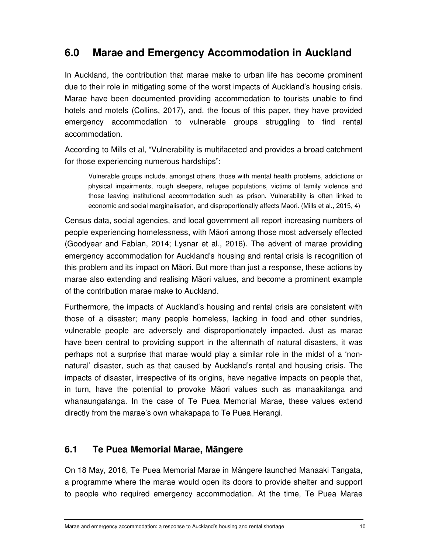### **6.0 Marae and Emergency Accommodation in Auckland**

In Auckland, the contribution that marae make to urban life has become prominent due to their role in mitigating some of the worst impacts of Auckland's housing crisis. Marae have been documented providing accommodation to tourists unable to find hotels and motels (Collins, 2017), and, the focus of this paper, they have provided emergency accommodation to vulnerable groups struggling to find rental accommodation.

According to Mills et al, "Vulnerability is multifaceted and provides a broad catchment for those experiencing numerous hardships":

Vulnerable groups include, amongst others, those with mental health problems, addictions or physical impairments, rough sleepers, refugee populations, victims of family violence and those leaving institutional accommodation such as prison. Vulnerability is often linked to economic and social marginalisation, and disproportionally affects Maori. (Mills et al., 2015, 4)

Census data, social agencies, and local government all report increasing numbers of people experiencing homelessness, with Māori among those most adversely effected (Goodyear and Fabian, 2014; Lysnar et al., 2016). The advent of marae providing emergency accommodation for Auckland's housing and rental crisis is recognition of this problem and its impact on Māori. But more than just a response, these actions by marae also extending and realising Māori values, and become a prominent example of the contribution marae make to Auckland.

Furthermore, the impacts of Auckland's housing and rental crisis are consistent with those of a disaster; many people homeless, lacking in food and other sundries, vulnerable people are adversely and disproportionately impacted. Just as marae have been central to providing support in the aftermath of natural disasters, it was perhaps not a surprise that marae would play a similar role in the midst of a 'nonnatural' disaster, such as that caused by Auckland's rental and housing crisis. The impacts of disaster, irrespective of its origins, have negative impacts on people that, in turn, have the potential to provoke Māori values such as manaakitanga and whanaungatanga. In the case of Te Puea Memorial Marae, these values extend directly from the marae's own whakapapa to Te Puea Herangi.

#### **6.1 Te Puea Memorial Marae, M**ā**ngere**

On 18 May, 2016, Te Puea Memorial Marae in Māngere launched Manaaki Tangata, a programme where the marae would open its doors to provide shelter and support to people who required emergency accommodation. At the time, Te Puea Marae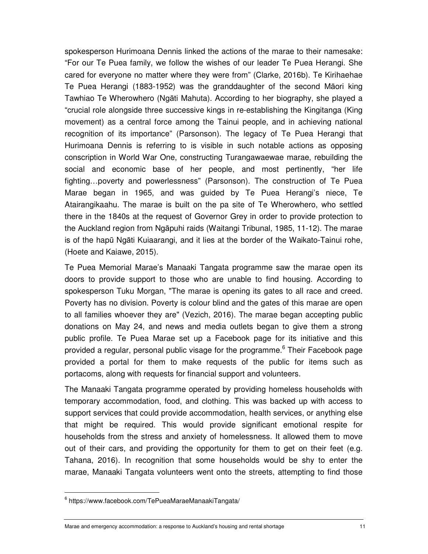spokesperson Hurimoana Dennis linked the actions of the marae to their namesake: "For our Te Puea family, we follow the wishes of our leader Te Puea Herangi. She cared for everyone no matter where they were from" (Clarke, 2016b). Te Kirihaehae Te Puea Herangi (1883-1952) was the granddaughter of the second Māori king Tawhiao Te Wherowhero (Ngāti Mahuta). According to her biography, she played a "crucial role alongside three successive kings in re-establishing the Kingitanga (King movement) as a central force among the Tainui people, and in achieving national recognition of its importance" (Parsonson). The legacy of Te Puea Herangi that Hurimoana Dennis is referring to is visible in such notable actions as opposing conscription in World War One, constructing Turangawaewae marae, rebuilding the social and economic base of her people, and most pertinently, "her life fighting…poverty and powerlessness" (Parsonson). The construction of Te Puea Marae began in 1965, and was guided by Te Puea Herangi's niece, Te Atairangikaahu. The marae is built on the pa site of Te Wherowhero, who settled there in the 1840s at the request of Governor Grey in order to provide protection to the Auckland region from Ngāpuhi raids (Waitangi Tribunal, 1985, 11-12). The marae is of the hapū Ngāti Kuiaarangi, and it lies at the border of the Waikato-Tainui rohe, (Hoete and Kaiawe, 2015).

Te Puea Memorial Marae's Manaaki Tangata programme saw the marae open its doors to provide support to those who are unable to find housing. According to spokesperson Tuku Morgan, "The marae is opening its gates to all race and creed. Poverty has no division. Poverty is colour blind and the gates of this marae are open to all families whoever they are" (Vezich, 2016). The marae began accepting public donations on May 24, and news and media outlets began to give them a strong public profile. Te Puea Marae set up a Facebook page for its initiative and this provided a regular, personal public visage for the programme.<sup>6</sup> Their Facebook page provided a portal for them to make requests of the public for items such as portacoms, along with requests for financial support and volunteers.

The Manaaki Tangata programme operated by providing homeless households with temporary accommodation, food, and clothing. This was backed up with access to support services that could provide accommodation, health services, or anything else that might be required. This would provide significant emotional respite for households from the stress and anxiety of homelessness. It allowed them to move out of their cars, and providing the opportunity for them to get on their feet (e.g. Tahana, 2016). In recognition that some households would be shy to enter the marae, Manaaki Tangata volunteers went onto the streets, attempting to find those

<sup>6</sup> https://www.facebook.com/TePueaMaraeManaakiTangata/

Marae and emergency accommodation: a response to Auckland's housing and rental shortage 11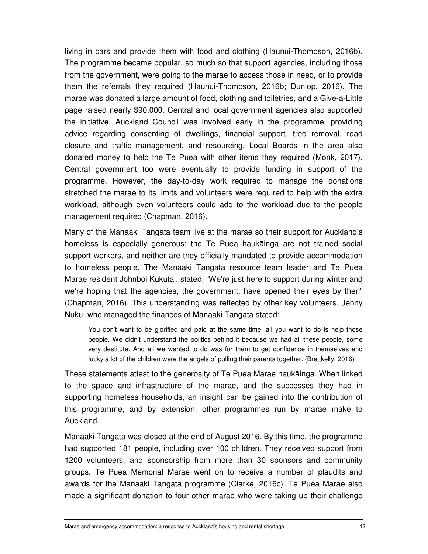living in cars and provide them with food and clothing (Haunui-Thompson, 2016b). The programme became popular, so much so that support agencies, including those from the government, were going to the marae to access those in need, or to provide them the referrals they required (Haunui-Thompson, 2016b; Dunlop, 2016). The marae was donated a large amount of food, clothing and toiletries, and a Give-a-Little page raised nearly \$90,000. Central and local government agencies also supported the initiative. Auckland Council was involved early in the programme, providing advice regarding consenting of dwellings, financial support, tree removal, road closure and traffic management, and resourcing. Local Boards in the area also donated money to help the Te Puea with other items they required (Monk, 2017). Central government too were eventually to provide funding in support of the programme. However, the day-to-day work required to manage the donations stretched the marae to its limits and volunteers were required to help with the extra workload, although even volunteers could add to the workload due to the people management required (Chapman, 2016).

Many of the Manaaki Tangata team live at the marae so their support for Auckland's homeless is especially generous; the Te Puea haukāinga are not trained social support workers, and neither are they officially mandated to provide accommodation to homeless people. The Manaaki Tangata resource team leader and Te Puea Marae resident Johnboi Kukutai, stated, "We're just here to support during winter and we're hoping that the agencies, the government, have opened their eyes by then" (Chapman, 2016). This understanding was reflected by other key volunteers. Jenny Nuku, who managed the finances of Manaaki Tangata stated:

You don't want to be glorified and paid at the same time, all you want to do is help those people. We didn't understand the politics behind it because we had all these people, some very destitute. And all we wanted to do was for them to get confidence in themselves and lucky a lot of the children were the angels of pulling their parents together. (Brettkelly, 2016)

These statements attest to the generosity of Te Puea Marae haukāinga. When linked to the space and infrastructure of the marae, and the successes they had in supporting homeless households, an insight can be gained into the contribution of this programme, and by extension, other programmes run by marae make to Auckland.

Manaaki Tangata was closed at the end of August 2016. By this time, the programme had supported 181 people, including over 100 children. They received support from 1200 volunteers, and sponsorship from more than 30 sponsors and community groups. Te Puea Memorial Marae went on to receive a number of plaudits and awards for the Manaaki Tangata programme (Clarke, 2016c). Te Puea Marae also made a significant donation to four other marae who were taking up their challenge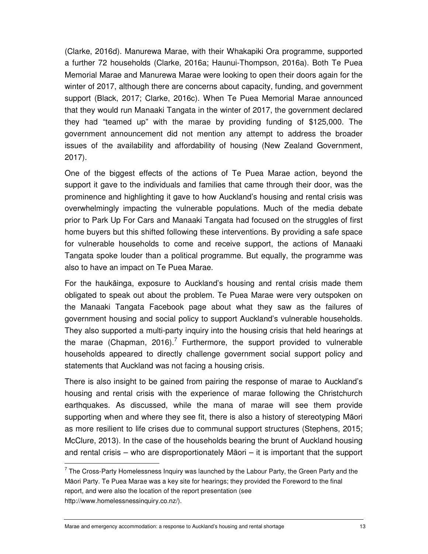(Clarke, 2016d). Manurewa Marae, with their Whakapiki Ora programme, supported a further 72 households (Clarke, 2016a; Haunui-Thompson, 2016a). Both Te Puea Memorial Marae and Manurewa Marae were looking to open their doors again for the winter of 2017, although there are concerns about capacity, funding, and government support (Black, 2017; Clarke, 2016c). When Te Puea Memorial Marae announced that they would run Manaaki Tangata in the winter of 2017, the government declared they had "teamed up" with the marae by providing funding of \$125,000. The government announcement did not mention any attempt to address the broader issues of the availability and affordability of housing (New Zealand Government, 2017).

One of the biggest effects of the actions of Te Puea Marae action, beyond the support it gave to the individuals and families that came through their door, was the prominence and highlighting it gave to how Auckland's housing and rental crisis was overwhelmingly impacting the vulnerable populations. Much of the media debate prior to Park Up For Cars and Manaaki Tangata had focused on the struggles of first home buyers but this shifted following these interventions. By providing a safe space for vulnerable households to come and receive support, the actions of Manaaki Tangata spoke louder than a political programme. But equally, the programme was also to have an impact on Te Puea Marae.

For the haukāinga, exposure to Auckland's housing and rental crisis made them obligated to speak out about the problem. Te Puea Marae were very outspoken on the Manaaki Tangata Facebook page about what they saw as the failures of government housing and social policy to support Auckland's vulnerable households. They also supported a multi-party inquiry into the housing crisis that held hearings at the marae (Chapman, 2016).<sup>7</sup> Furthermore, the support provided to vulnerable households appeared to directly challenge government social support policy and statements that Auckland was not facing a housing crisis.

There is also insight to be gained from pairing the response of marae to Auckland's housing and rental crisis with the experience of marae following the Christchurch earthquakes. As discussed, while the mana of marae will see them provide supporting when and where they see fit, there is also a history of stereotyping Māori as more resilient to life crises due to communal support structures (Stephens, 2015; McClure, 2013). In the case of the households bearing the brunt of Auckland housing and rental crisis – who are disproportionately Māori – it is important that the support

 $<sup>7</sup>$  The Cross-Party Homelessness Inquiry was launched by the Labour Party, the Green Party and the</sup> Māori Party. Te Puea Marae was a key site for hearings; they provided the Foreword to the final report, and were also the location of the report presentation (see http://www.homelessnessinquiry.co.nz/).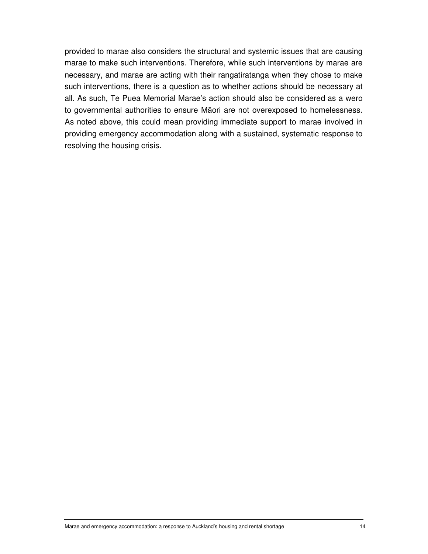provided to marae also considers the structural and systemic issues that are causing marae to make such interventions. Therefore, while such interventions by marae are necessary, and marae are acting with their rangatiratanga when they chose to make such interventions, there is a question as to whether actions should be necessary at all. As such, Te Puea Memorial Marae's action should also be considered as a wero to governmental authorities to ensure Māori are not overexposed to homelessness. As noted above, this could mean providing immediate support to marae involved in providing emergency accommodation along with a sustained, systematic response to resolving the housing crisis.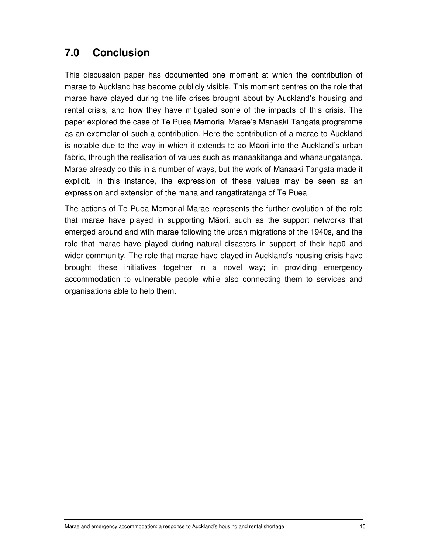## **7.0 Conclusion**

This discussion paper has documented one moment at which the contribution of marae to Auckland has become publicly visible. This moment centres on the role that marae have played during the life crises brought about by Auckland's housing and rental crisis, and how they have mitigated some of the impacts of this crisis. The paper explored the case of Te Puea Memorial Marae's Manaaki Tangata programme as an exemplar of such a contribution. Here the contribution of a marae to Auckland is notable due to the way in which it extends te ao Māori into the Auckland's urban fabric, through the realisation of values such as manaakitanga and whanaungatanga. Marae already do this in a number of ways, but the work of Manaaki Tangata made it explicit. In this instance, the expression of these values may be seen as an expression and extension of the mana and rangatiratanga of Te Puea.

The actions of Te Puea Memorial Marae represents the further evolution of the role that marae have played in supporting Māori, such as the support networks that emerged around and with marae following the urban migrations of the 1940s, and the role that marae have played during natural disasters in support of their hapū and wider community. The role that marae have played in Auckland's housing crisis have brought these initiatives together in a novel way; in providing emergency accommodation to vulnerable people while also connecting them to services and organisations able to help them.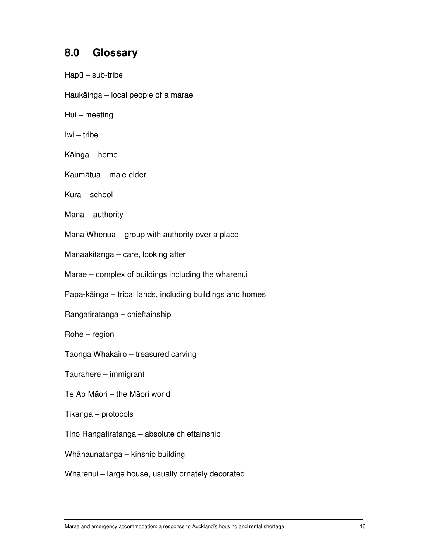#### **8.0 Glossary**

Hapū – sub-tribe Haukāinga – local people of a marae Hui – meeting Iwi – tribe Kāinga – home Kaumātua – male elder Kura – school Mana – authority Mana Whenua – group with authority over a place Manaakitanga – care, looking after Marae – complex of buildings including the wharenui Papa-kāinga – tribal lands, including buildings and homes Rangatiratanga – chieftainship Rohe – region Taonga Whakairo – treasured carving Taurahere – immigrant Te Ao Māori – the Māori world Tikanga – protocols Tino Rangatiratanga – absolute chieftainship Whānaunatanga – kinship building Wharenui – large house, usually ornately decorated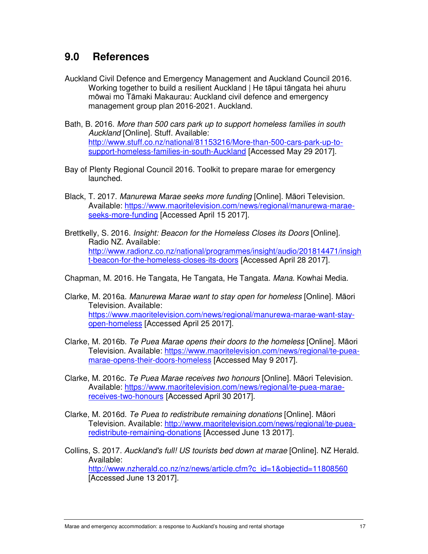#### **9.0 References**

- Auckland Civil Defence and Emergency Management and Auckland Council 2016. Working together to build a resilient Auckland | He tāpui tāngata hei ahuru mōwai mo Tāmaki Makaurau: Auckland civil defence and emergency management group plan 2016-2021. Auckland.
- Bath, B. 2016. More than 500 cars park up to support homeless families in south Auckland [Online]. Stuff. Available: http://www.stuff.co.nz/national/81153216/More-than-500-cars-park-up-tosupport-homeless-families-in-south-Auckland [Accessed May 29 2017].
- Bay of Plenty Regional Council 2016. Toolkit to prepare marae for emergency launched.
- Black, T. 2017. Manurewa Marae seeks more funding [Online]. Māori Television. Available: https://www.maoritelevision.com/news/regional/manurewa-maraeseeks-more-funding [Accessed April 15 2017].
- Brettkelly, S. 2016. *Insight: Beacon for the Homeless Closes its Doors* [Online]. Radio NZ. Available: http://www.radionz.co.nz/national/programmes/insight/audio/201814471/insigh t-beacon-for-the-homeless-closes-its-doors [Accessed April 28 2017].

Chapman, M. 2016. He Tangata, He Tangata, He Tangata. Mana. Kowhai Media.

- Clarke, M. 2016a. Manurewa Marae want to stay open for homeless [Online]. Māori Television. Available: https://www.maoritelevision.com/news/regional/manurewa-marae-want-stayopen-homeless [Accessed April 25 2017].
- Clarke, M. 2016b. Te Puea Marae opens their doors to the homeless [Online]. Māori Television. Available: https://www.maoritelevision.com/news/regional/te-pueamarae-opens-their-doors-homeless [Accessed May 9 2017].
- Clarke, M. 2016c. Te Puea Marae receives two honours [Online]. Māori Television. Available: https://www.maoritelevision.com/news/regional/te-puea-maraereceives-two-honours [Accessed April 30 2017].
- Clarke, M. 2016d. Te Puea to redistribute remaining donations [Online]. Māori Television. Available: http://www.maoritelevision.com/news/regional/te-puearedistribute-remaining-donations [Accessed June 13 2017].
- Collins, S. 2017. Auckland's full! US tourists bed down at marae [Online]. NZ Herald. Available: http://www.nzherald.co.nz/nz/news/article.cfm?c\_id=1&objectid=11808560 [Accessed June 13 2017].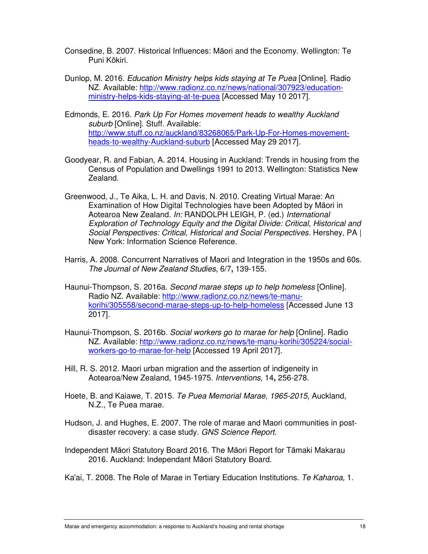- Consedine, B. 2007. Historical Influences: Māori and the Economy. Wellington: Te Puni Kōkiri.
- Dunlop, M. 2016. Education Ministry helps kids staying at Te Puea [Online]. Radio NZ. Available: http://www.radionz.co.nz/news/national/307923/educationministry-helps-kids-staying-at-te-puea [Accessed May 10 2017].
- Edmonds, E. 2016. Park Up For Homes movement heads to wealthy Auckland suburb [Online]. Stuff. Available: http://www.stuff.co.nz/auckland/83268065/Park-Up-For-Homes-movementheads-to-wealthy-Auckland-suburb [Accessed May 29 2017].
- Goodyear, R. and Fabian, A. 2014. Housing in Auckland: Trends in housing from the Census of Population and Dwellings 1991 to 2013. Wellington: Statistics New Zealand.
- Greenwood, J., Te Aika, L. H. and Davis, N. 2010. Creating Virtual Marae: An Examination of How Digital Technologies have been Adopted by Māori in Aotearoa New Zealand. In: RANDOLPH LEIGH, P. (ed.) International Exploration of Technology Equity and the Digital Divide: Critical, Historical and Social Perspectives: Critical, Historical and Social Perspectives. Hershey, PA | New York: Information Science Reference.
- Harris, A. 2008. Concurrent Narratives of Maori and Integration in the 1950s and 60s. The Journal of New Zealand Studies, 6/7**,** 139-155.
- Haunui-Thompson, S. 2016a. Second marae steps up to help homeless [Online]. Radio NZ. Available: http://www.radionz.co.nz/news/te-manukorihi/305558/second-marae-steps-up-to-help-homeless [Accessed June 13 2017].
- Haunui-Thompson, S. 2016b. Social workers go to marae for help [Online]. Radio NZ. Available: http://www.radionz.co.nz/news/te-manu-korihi/305224/socialworkers-go-to-marae-for-help [Accessed 19 April 2017].
- Hill, R. S. 2012. Maori urban migration and the assertion of indigeneity in Aotearoa/New Zealand, 1945-1975. Interventions, 14**,** 256-278.
- Hoete, B. and Kaiawe, T. 2015. Te Puea Memorial Marae, 1965-2015, Auckland, N.Z., Te Puea marae.
- Hudson, J. and Hughes, E. 2007. The role of marae and Maori communities in postdisaster recovery: a case study. GNS Science Report.
- Independent Māori Statutory Board 2016. The Māori Report for Tāmaki Makarau 2016. Auckland: Independant Māori Statutory Board.
- Ka'ai, T. 2008. The Role of Marae in Tertiary Education Institutions. Te Kaharoa, 1.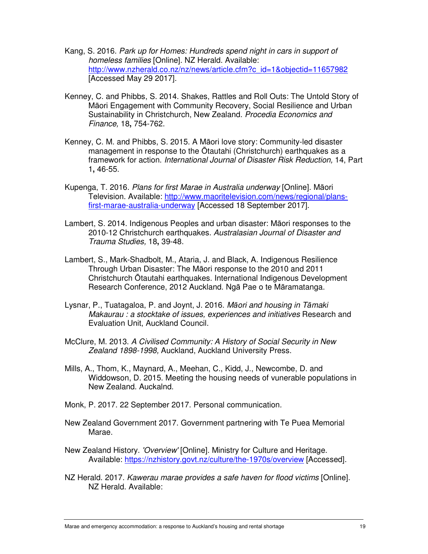- Kang, S. 2016. Park up for Homes: Hundreds spend night in cars in support of homeless families [Online]. NZ Herald. Available: http://www.nzherald.co.nz/nz/news/article.cfm?c\_id=1&objectid=11657982 [Accessed May 29 2017].
- Kenney, C. and Phibbs, S. 2014. Shakes, Rattles and Roll Outs: The Untold Story of Māori Engagement with Community Recovery, Social Resilience and Urban Sustainability in Christchurch, New Zealand. Procedia Economics and Finance, 18**,** 754-762.
- Kenney, C. M. and Phibbs, S. 2015. A Māori love story: Community-led disaster management in response to the Ōtautahi (Christchurch) earthquakes as a framework for action. International Journal of Disaster Risk Reduction, 14, Part 1**,** 46-55.
- Kupenga, T. 2016. Plans for first Marae in Australia underway [Online]. Māori Television. Available: http://www.maoritelevision.com/news/regional/plansfirst-marae-australia-underway [Accessed 18 September 2017].
- Lambert, S. 2014. Indigenous Peoples and urban disaster: Māori responses to the 2010-12 Christchurch earthquakes. Australasian Journal of Disaster and Trauma Studies, 18**,** 39-48.
- Lambert, S., Mark-Shadbolt, M., Ataria, J. and Black, A. Indigenous Resilience Through Urban Disaster: The Māori response to the 2010 and 2011 Christchurch Ōtautahi earthquakes. International Indigenous Development Research Conference, 2012 Auckland. Ngā Pae o te Māramatanga.
- Lysnar, P., Tuatagaloa, P. and Joynt, J. 2016. Māori and housing in Tāmaki Makaurau : a stocktake of issues, experiences and initiatives Research and Evaluation Unit, Auckland Council.
- McClure, M. 2013. A Civilised Community: A History of Social Security in New Zealand 1898-1998, Auckland, Auckland University Press.
- Mills, A., Thom, K., Maynard, A., Meehan, C., Kidd, J., Newcombe, D. and Widdowson, D. 2015. Meeting the housing needs of vunerable populations in New Zealand. Auckalnd.
- Monk, P. 2017. 22 September 2017. Personal communication.
- New Zealand Government 2017. Government partnering with Te Puea Memorial Marae.
- New Zealand History. 'Overview' [Online]. Ministry for Culture and Heritage. Available: https://nzhistory.govt.nz/culture/the-1970s/overview [Accessed].
- NZ Herald. 2017. Kawerau marae provides a safe haven for flood victims [Online]. NZ Herald. Available: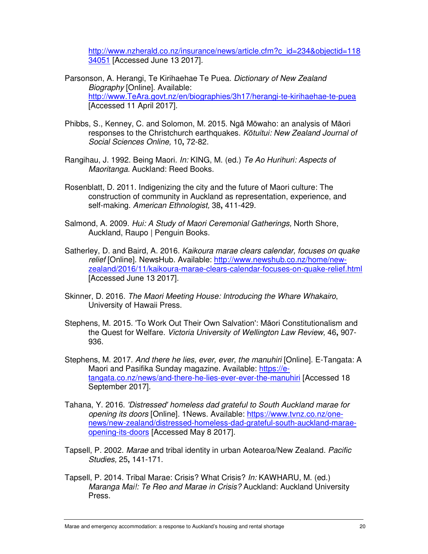http://www.nzherald.co.nz/insurance/news/article.cfm?c\_id=234&objectid=118 34051 [Accessed June 13 2017].

- Parsonson, A. Herangi, Te Kirihaehae Te Puea. Dictionary of New Zealand Biography [Online]. Available: http://www.TeAra.govt.nz/en/biographies/3h17/herangi-te-kirihaehae-te-puea [Accessed 11 April 2017].
- Phibbs, S., Kenney, C. and Solomon, M. 2015. Ngā Mōwaho: an analysis of Māori responses to the Christchurch earthquakes. Kōtuitui: New Zealand Journal of Social Sciences Online, 10**,** 72-82.
- Rangihau, J. 1992. Being Maori. In: KING, M. (ed.) Te Ao Hurihuri: Aspects of Maoritanga. Auckland: Reed Books.
- Rosenblatt, D. 2011. Indigenizing the city and the future of Maori culture: The construction of community in Auckland as representation, experience, and self-making. American Ethnologist, 38**,** 411-429.
- Salmond, A. 2009. Hui: A Study of Maori Ceremonial Gatherings, North Shore, Auckland, Raupo | Penguin Books.
- Satherley, D. and Baird, A. 2016. Kaikoura marae clears calendar, focuses on quake relief [Online]. NewsHub. Available: http://www.newshub.co.nz/home/newzealand/2016/11/kaikoura-marae-clears-calendar-focuses-on-quake-relief.html [Accessed June 13 2017].
- Skinner, D. 2016. The Maori Meeting House: Introducing the Whare Whakairo, University of Hawaii Press.
- Stephens, M. 2015. 'To Work Out Their Own Salvation': Māori Constitutionalism and the Quest for Welfare. Victoria University of Wellington Law Review, 46**,** 907- 936.
- Stephens, M. 2017. And there he lies, ever, ever, the manuhiri [Online]. E-Tangata: A Maori and Pasifika Sunday magazine. Available: https://etangata.co.nz/news/and-there-he-lies-ever-ever-the-manuhiri [Accessed 18 September 2017].
- Tahana, Y. 2016. 'Distressed' homeless dad grateful to South Auckland marae for opening its doors [Online]. 1News. Available: https://www.tvnz.co.nz/onenews/new-zealand/distressed-homeless-dad-grateful-south-auckland-maraeopening-its-doors [Accessed May 8 2017].
- Tapsell, P. 2002. Marae and tribal identity in urban Aotearoa/New Zealand. Pacific Studies, 25**,** 141-171.
- Tapsell, P. 2014. Tribal Marae: Crisis? What Crisis? In: KAWHARU, M. (ed.) Maranga Mai!: Te Reo and Marae in Crisis? Auckland: Auckland University Press.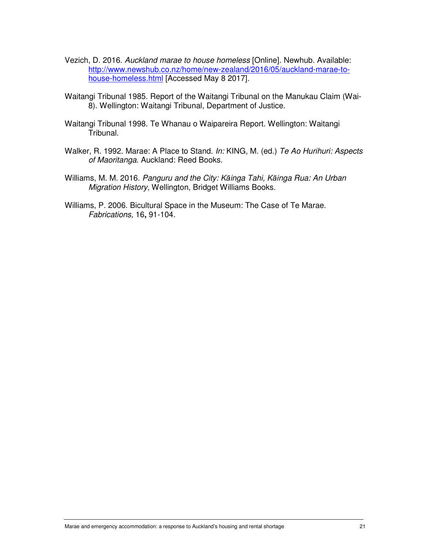- Vezich, D. 2016. Auckland marae to house homeless [Online]. Newhub. Available: http://www.newshub.co.nz/home/new-zealand/2016/05/auckland-marae-tohouse-homeless.html [Accessed May 8 2017].
- Waitangi Tribunal 1985. Report of the Waitangi Tribunal on the Manukau Claim (Wai-8). Wellington: Waitangi Tribunal, Department of Justice.
- Waitangi Tribunal 1998. Te Whanau o Waipareira Report. Wellington: Waitangi Tribunal.
- Walker, R. 1992. Marae: A Place to Stand. In: KING, M. (ed.) Te Ao Hurihuri: Aspects of Maoritanga. Auckland: Reed Books.
- Williams, M. M. 2016. Panguru and the City: Kāinga Tahi, Kāinga Rua: An Urban Migration History, Wellington, Bridget Williams Books.
- Williams, P. 2006. Bicultural Space in the Museum: The Case of Te Marae. Fabrications, 16**,** 91-104.